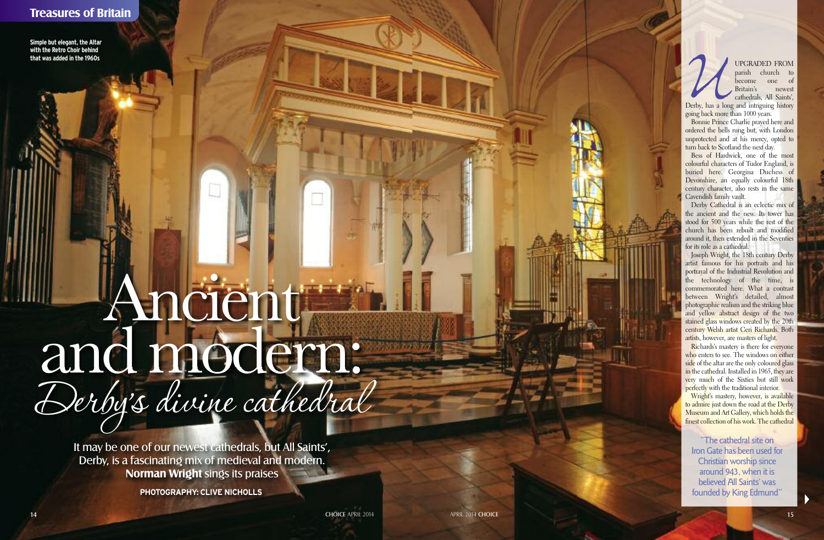# **Treasures of Britain**

Simple but elegant, the Altar with the Retro Choir behind that was added in the 1960s

**▼**

UPGRADED<br>parish chu<br>become of<br>Britain's<br>cathedrals, All<br>Derby, has a long and intriguing<br>going back more than 1000 years. UPGRADED FROM parish church to become o n e o f Britain's newest cathedrals, All Saints' ,

Derby, has a long and intriguing history

Bonnie Prince Charlie prayed here and ordered the bells rung but, with London unprotected and at his mercy, opted to turn back to Scotland the next day.

Bess of Hardwick, one of the most colourful characters of Tudor England, is buried here. Georgina Duchess of Devonshire, an equally colourful 18th century character, also rests in the same Cavendish family vault.

Derby Cathedral is an eclectic mix of the ancient and the new. Its tower has stood for 500 years while the rest of the church has been rebuilt and modified around it, then extended in the Seventies for its role as a cathedral.

Joseph Wright, the 18th century Derby artist famous for his portraits and his portrayal of the Industrial Revolution and the technology of the time, is commemorated here. What a contrast between Wright's detailed, almost photographic realism and the striking blue and yellow abstract design of the two stained glass windows created by the 20th century Welsh artist Ceri Richards. Both artists, however, are masters of light.

Richards's mastery is there for everyone who enters to see. The windows on either side of the altar are the only coloured glass in the cathedral. Installed in 1965, they are very much of the Sixties but still work perfectly with the traditional interior.

Wright's mastery, however, is available to admire just down the road at the Derby Museum and Art Gallery, which holds the finest collection of his work. The cathedral

"The cathedral site on Iron Gate has been used for Christian worship since around 943, when it is believed All Saints' was founded by King Edmund"

# Ancient and medern: Derby's divine cathedral

It may be one of our newest cathedrals, but All Saints', Derby, is a fascinating mix of medieval and modern. **Norman Wright** sings its praises

**PHOTOGRAPHY: CLIVE NICHOLLS** 

**CHOICE APRIL 2014** 

APRIL 2014 CHOICE